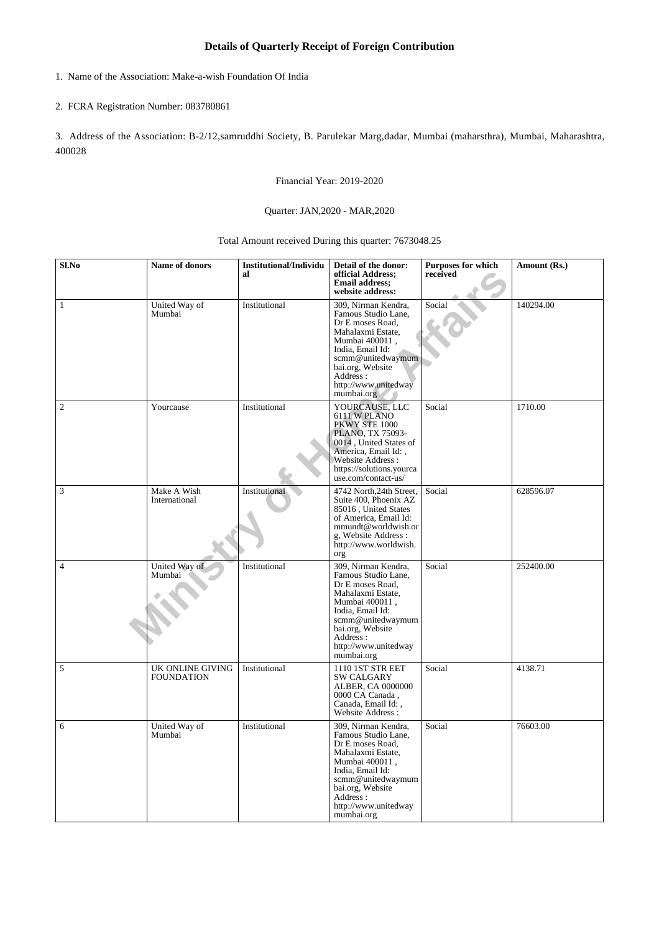## **Details of Quarterly Receipt of Foreign Contribution**

1. Name of the Association: Make-a-wish Foundation Of India

## 2. FCRA Registration Number: 083780861

3. Address of the Association: B-2/12,samruddhi Society, B. Parulekar Marg,dadar, Mumbai (maharsthra), Mumbai, Maharashtra, 400028

Financial Year: 2019-2020

## Quarter: JAN,2020 - MAR,2020

Total Amount received During this quarter: 7673048.25

| Sl.No          | Name of donors                        | <b>Institutional/Individu</b><br>al | Detail of the donor:<br>official Address;<br><b>Email address:</b><br>website address:                                                                                                                               | <b>Purposes for which</b><br>received | Amount (Rs.) |
|----------------|---------------------------------------|-------------------------------------|----------------------------------------------------------------------------------------------------------------------------------------------------------------------------------------------------------------------|---------------------------------------|--------------|
| $\mathbf{1}$   | United Way of<br>Mumbai               | Institutional                       | 309, Nirman Kendra,<br>Famous Studio Lane,<br>Dr E moses Road,<br>Mahalaxmi Estate,<br>Mumbai 400011,<br>India, Email Id:<br>scmm@unitedwaymum<br>bai.org, Website<br>Address:<br>http://www.unitedway<br>mumbai.org | Social                                | 140294.00    |
| $\mathfrak{2}$ | Yourcause                             | Institutional                       | YOURCAUSE, LLC<br>6111 W PLANO<br>PKWY STE 1000<br>PLANO, TX 75093-<br>0014, United States of<br>America, Email Id:,<br>Website Address:<br>https://solutions.yourca<br>use.com/contact-us/                          | Social                                | 1710.00      |
| $\mathfrak{Z}$ | Make A Wish<br>International          | Institutional                       | 4742 North, 24th Street,<br>Suite 400, Phoenix AZ<br>85016, United States<br>of America, Email Id:<br>mmundt@worldwish.or<br>g, Website Address :<br>http://www.worldwish.<br>org                                    | Social                                | 628596.07    |
| $\overline{4}$ | United Way of<br>Mumbai               | Institutional                       | 309, Nirman Kendra,<br>Famous Studio Lane,<br>Dr E moses Road,<br>Mahalaxmi Estate,<br>Mumbai 400011,<br>India, Email Id:<br>scmm@unitedwaymum<br>bai.org, Website<br>Address:<br>http://www.unitedway<br>mumbai.org | Social                                | 252400.00    |
| 5              | UK ONLINE GIVING<br><b>FOUNDATION</b> | Institutional                       | 1110 1ST STR EET<br><b>SW CALGARY</b><br>ALBER, CA 0000000<br>0000 CA Canada,<br>Canada, Email Id:,<br>Website Address:                                                                                              | Social                                | 4138.71      |
| 6              | United Way of<br>Mumbai               | Institutional                       | 309, Nirman Kendra,<br>Famous Studio Lane,<br>Dr E moses Road,<br>Mahalaxmi Estate,<br>Mumbai 400011,<br>India, Email Id:<br>scmm@unitedwaymum<br>bai.org, Website<br>Address:<br>http://www.unitedway<br>mumbai.org | Social                                | 76603.00     |